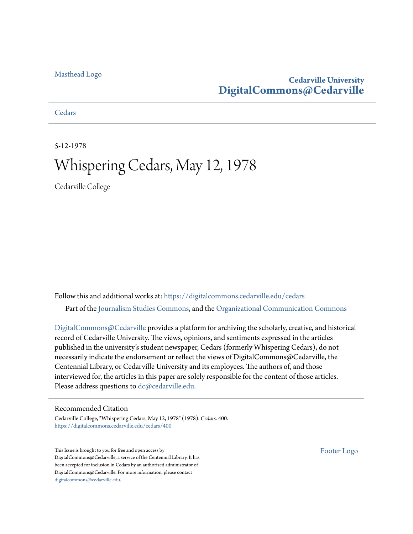## [Masthead Logo](http://www.cedarville.edu/?utm_source=digitalcommons.cedarville.edu%2Fcedars%2F400&utm_medium=PDF&utm_campaign=PDFCoverPages)

## **Cedarville University [DigitalCommons@Cedarville](https://digitalcommons.cedarville.edu?utm_source=digitalcommons.cedarville.edu%2Fcedars%2F400&utm_medium=PDF&utm_campaign=PDFCoverPages)**

**[Cedars](https://digitalcommons.cedarville.edu/cedars?utm_source=digitalcommons.cedarville.edu%2Fcedars%2F400&utm_medium=PDF&utm_campaign=PDFCoverPages)** 

5-12-1978

## Whispering Cedars, May 12, 1978

Cedarville College

Follow this and additional works at: [https://digitalcommons.cedarville.edu/cedars](https://digitalcommons.cedarville.edu/cedars?utm_source=digitalcommons.cedarville.edu%2Fcedars%2F400&utm_medium=PDF&utm_campaign=PDFCoverPages) Part of the [Journalism Studies Commons](http://network.bepress.com/hgg/discipline/333?utm_source=digitalcommons.cedarville.edu%2Fcedars%2F400&utm_medium=PDF&utm_campaign=PDFCoverPages), and the [Organizational Communication Commons](http://network.bepress.com/hgg/discipline/335?utm_source=digitalcommons.cedarville.edu%2Fcedars%2F400&utm_medium=PDF&utm_campaign=PDFCoverPages)

[DigitalCommons@Cedarville](http://digitalcommons.cedarville.edu/) provides a platform for archiving the scholarly, creative, and historical record of Cedarville University. The views, opinions, and sentiments expressed in the articles published in the university's student newspaper, Cedars (formerly Whispering Cedars), do not necessarily indicate the endorsement or reflect the views of DigitalCommons@Cedarville, the Centennial Library, or Cedarville University and its employees. The authors of, and those interviewed for, the articles in this paper are solely responsible for the content of those articles. Please address questions to [dc@cedarville.edu.](mailto:dc@cedarville.edu)

## Recommended Citation

Cedarville College, "Whispering Cedars, May 12, 1978" (1978). *Cedars*. 400. [https://digitalcommons.cedarville.edu/cedars/400](https://digitalcommons.cedarville.edu/cedars/400?utm_source=digitalcommons.cedarville.edu%2Fcedars%2F400&utm_medium=PDF&utm_campaign=PDFCoverPages)

This Issue is brought to you for free and open access by DigitalCommons@Cedarville, a service of the Centennial Library. It has been accepted for inclusion in Cedars by an authorized administrator of DigitalCommons@Cedarville. For more information, please contact [digitalcommons@cedarville.edu](mailto:digitalcommons@cedarville.edu).

[Footer Logo](http://www.cedarville.edu/Academics/Library.aspx?utm_source=digitalcommons.cedarville.edu%2Fcedars%2F400&utm_medium=PDF&utm_campaign=PDFCoverPages)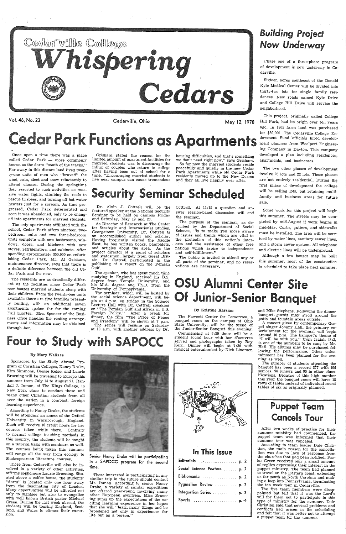Vol. 46, No. 23

Cedarville, Ohio



Grisham stated the reason for the limited amount of apartment facilities for married students was to discourage the influx of couples who return to college after having been out of school for <sup>a</sup> time. "Encouraging married students to live near campus can cause tremendous

May 12, 1978

housing difficulties, and that's something we don't need right now," says Grisham. So for now the married students reside peacefully and quietly in the new Cedar

Park Apartments while old Cedar Park residents moved up to the New Dorms and they all live happily ever after.

## *Building Project*  Now *Underway*

Phase one of a three-phase program of development is now underway in Cedarville.

Sixteen acres southeast of the Donald Kyle Medical Center will be divided into thirty-two lots for single family residences. New roads named Kyle Drive and College Hill Drive will service the neighborhood.

Once upon a time there was a place called Cedar Park — more commonly known as the dorm "south of the tracks.'' Far away in this distant land lived twenty-one units of men who "braved" the wind, rain, sleet and snow reluctantly to attend classes. During the springtime they resorted to such activities as massive water fights, climbing the roofs to rescue frisbees, and turning off hot water heaters just for a scream. As time progressed, Cedar Park deteriorated and soon it was abandoned, only to be changed into apartments for married students.

This project, originally called College Hill Park, had its origin over ten years ago. In 1965 farm land was purchased for \$60,000. The Cedarville College Endowment Fund officials hired development planners from Woolpert Engineering Company in Dayton. This company developed a plan including residences, apartments, and businesses.

The residents are as drastically different as the facilities since Cedar Park now houses married students along with their children. From the twenty-one units available there are five families presently renting, with an additional seven apartments spoken for for the coming Fall Quarter. Mrs. Spencer of the Business Ofice handles the renting arrangements and information may be obtained through her.

# Security Seminar Scheduled

Dr. Alvin J. Cottrell will be the featured speaker at the National Security Seminar to be held on campus Friday and Saturday, May 19 and 20.

The two other phases of development involve 26 lots and 22 lots. These phases are not entirely residential. During the first phase of development the college will be selling lots, but retaining multifamily and business areas for future sale.

The only apartments affiliated with the school, Cedar Park offers nineteen twobedroom units and two three-bedroom units complete with new bathrooms, windows, doors, and kitchens with new stoves, refrigerators, and cabinets. After spending aproximately \$50,000 on refurbishing Cedar Park, Mr. Al Grisham, maintenance director, says that there is a definite diference between the old Cedar Park and the new.

> the social science department, will be<sup>g</sup>in at 4 p.m. on Friday in the Science Lecture Hall with Dr. Cottrell speaking on "The Persian Gulf and Africa in U.S. Foreign Policy." After a break for dinner, the film "The Price of Peace and Freedom" will be shown at 7 p.m. The series will resume on Saturday at 10 a.m. with another address by Dr.

Four to Study with SAPOCC

### By Mary Wallace

Cottrell. At 11:15 a question and answer session-panel discussion will end the seminar.

Sponsored by the Study Abroad Program of Christian Colleges, Nancy Drake, Kim Simmons, Denise Kelso, and Laurie Bruening will be traveling to Europe this summer from July 14 to August 21. Randall J. Inman, of The Kings College, in New York plans to conduct these and



many other Christian students from all over the nation in a compact, foreign learning experience.

According to Nancy Drake, the students will be attending an annex of the Oxford University in Warnborough, England. Each will receive 10 credit hours for her courses taken while there. Contrary to normal college teaching methods in this country, the students will be taught on a tutorial basis with seminars as well. The courses being taken this summer will range all the way from ecology to Shakespearean literature courses.

Those from Cedarville will also be involved in a variety of other activities, affirms sophomore Laurie Bruening. Situated above a coffee house, the students'<br>"dorm" is located only one hour away from the fascinating city of London.<br>Many opportunities will be afforded not only to sightsee but also to evangelize with well known British pastor Michael Green. During the last week abroad, the students will be touring England, Scot- land, and Wales to climax their excursion.

The number of students attending the banquet has been a record 377 with 196 seniors, 96 juniors and 95 in other class ifications. Because of this high number this year the banquet room will have <sup>18</sup> rows of tables instead of individual round tables of six as originally planned.

According to team leader Dale Christian, the main reason for the cancellathe churches that had been notified. Pas-<br>tor Green received only a small amount of replies expressing their interest in the puppet ministry. The team had planned to travel on the Eastern coast, extending as far south as North Carolina and making a loop into Pennsylvania, terminating the ten week tour in Cedarville.

The five team members were disap pointed but felt that it was the Lord's will for them not to participate in this type of ministry for the summer. Dale<br>Christian said that several problems and conflicts had arisen in the scheduling<br>and felt that it was better not to attempt a puppet team for the summer.

As Director of Research at The Center for Strategic and International Studies, Georgetown University, Dr. Cottrell is an accomplished author and scholar. Having frequently visited the Middle East, he has written books, pamphlets, and articles about the area. As the project director of a panel of scholars and statesmen, largely from Great Brit-<br>ain, Dr. Cottrell participated in the<br>publishing of a report on the Persian Gulf.

The speaker, who has spent much time studying in England, received his B.S. degree from Temple University, and his M.A. degree and Ph.D. from the University of Pennsylvania.

Senior Nancy Drake will be participating in a SAPOCC program for the second time.

Those interested in participating in any similar trip in the future should contact Mr. Inman. According to senior Nancy Drake, a variety of similar expeditions are offered year-round involving many other European countries. Miss Bruening sums up the expectations of the ex-<br>citing learning experience in her hopes<br>that she will "learn many things and be broadened not only in experiences for life but as a person."

The purpose of the seminar, as described by the Department of Social Science, "is to make you more aware of issues and trends which are vital to the protection of this nation's interests and the assistance of other free nations which aspire to independence and self-fulfillment."

The public is invited to attend any or all parts of the senrinar, and no reservations are necessary.

# OSU Alumni Center Site **Of Junior-Senior Banquet**

Some work for this project will begin this summer. The streets may be com<sup>p</sup>leted by mid-August if work begins in mid-May. Curbs, gutters, and sidewalks must be installed. The area will be serviced by water lines, sanitary sewer lines, and a storm sewer system. All telephone and electric lines will be underground.

Although a few houses may be built this summer, most of the construction is scheduled to take place next summer.

# r Park Functions as Apartments

## By Kristine Karsian

The Fawcett Center for Tomorrow, <sup>a</sup>banquet room on the campus of Ohio State University, will be the scene of the Junior-Senior Banquet this evening.

Commencing at 6:30 there will be <sup>a</sup> student social hour with hor d'oeuvres served and photographs taken by Roy<br>Kern. Dinner will begin at 7:30 with musical entertainment by Nick Linamen



| In This Issue                  |  |
|--------------------------------|--|
| Editorials .<br>.<br>p. 2      |  |
| Social Science Feature<br>p. 2 |  |
| Bibliomania<br>p. 2            |  |
| Pygmalion Review<br>p. 3       |  |
|                                |  |
| Integration Series  p. 3       |  |

and Mike Stephens. Following the dinner banquet guests may stroll around the patio and fountain areas outside.

A concert given by contemporary Gos-<br>pel singer Johnny Hall, the primary entertainment for the evening, will begin<br>around 10 p.m. The banquet's theme of<br>"I will be with you." from Isaiah 43:2,<br>is one of the numbers to be sung by Mr.<br>Hall. His albums may be purchased following the performance. Other enter-<br>tainment has been planned for the eve-<br>ning as well.

## Puppet Team Cancels Tour

After two weeks of practice for their summer ministry had commenced, the puppet team was informed that their summer tour was canceled.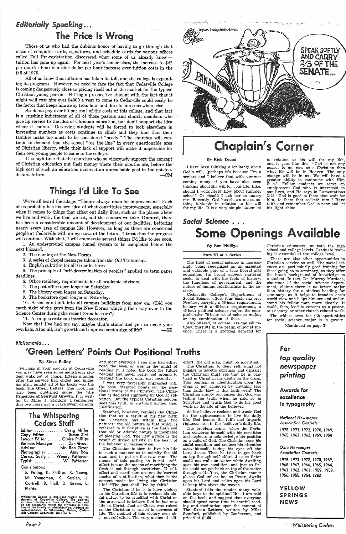## *Editorially Speaking .....*  The Price Is Wrong

Those of us who had the dubious honor of having to go through that maze of computer cards, signatures, and schedule cards for various offices called Fall Pre-registration discovered what some of us already knewtuition has gone up again. For next year's senior class, the increase to \$42 per quarter hour is a nine dollar per hour increase over tuition costs in the fall of 1975.

All of us know that inflation has taken its toll, and the college is expanding its programs. However, we need to face the fact that Cedarville College is coming dangerously close to pricing itself out of the market for the typical Christian young person. Hitting a prospective student with the fact that it might well cost him over \$4000 a year to come to Cedarville could easily be the factor that keeps him away from here and directs him somewhere else.

It is high time that the churches who so vigorously support the concept of Christian education put their money where their mouths are, before the high cost of such an education makes it an unreachable goal in the not-toodistant future.  $-M$ 

Students pay over 90 per cent of the costs of this college, and that fact is a crushing indictment of all of those pastors and church members who <sup>g</sup>ive lip service to the idea of Christian education, but don't support the idea where it counts. Deserving students will be forced to look elsewhere in increasing numbers as costs continue\_ to climb and they find that their families make too much to be considered "needy." The churches will continue to demand that the school "toe the line" in every questionable area of Christian liberty, while their lack of support will make it impossible for their own young people to come to the college.

Now that I've had my say, maybe that's stimulated you to make your own lists. After all, isn't growth and improvement a sign of life?

### *Bibliomania* . . .

## 'Green Letters' Points Out Positional Truths **Formula**

<sup>I</sup>have been thinking a lot lately about God's will, (perhaps it's because I'm <sup>a</sup> senior) and I believe that with summer coming many of you have also been thinking about His will for your life. Like, should I work here? How about summer school? Or should I ask her to marry me! Recently, God has shown me something fantastic in relation to his will for my life. It is a very simple statement

## Things I'd Like To See

*So,cial Science* .. .... Some Openings Available

We've all heard the adage: "There's always room for improvement." Each of us probably has his own idea of what constitutes improvement, especially when it comes to things that affect out daily lives, such as the places where we live and work, the food we eat, and the courses we take. Granted, there has been a considerable amount of development of our facilities, bettering nearly every area of campus life. However, as long as there are concerned people at Cedarville with an eye toward the future, I trust that the progress will continue. With that, I will enumerate several things I'd like to see soon.

> Cedarville College's Department of Social Science offers four basic majors: Pre-law, carrying a 56-hour requirement, history with a 48-hour requirement, <sup>a</sup> 45-hour political science major, the comprehensive 70-hour social science major, or any combination of these.

1. An underground campus tunnel system to be completed before the next blizzard.

> Also offered, of course, are the educational pursuits in the realm of social science. There is a growing demand for

2. The naming of the New Dorms.

3. A series of chapel messages taken from the *Old* Testament.

4. English subtitles for all Grier lectures.

5. The principle of "self-determination of peoples" applied to term paper deadlines.

6. Office residency requirements for all academic advisors.

7. The post office open longer on Saturday.

8. The library open longer on Saturday.

9. The bookstore open longer on Saturday.

for social science major is in govern-(Continued on page 3)

Perhaps in your sojourn at Cedarville you may have seen some industrious student walk out of chapel fifteen minutes after the service had ended and under his arm, amidst all of his books was the book The Green Letters. The book has :also been published under the title . Principles of Spiritual Growth. It is written by Miles J. Stanford. I remember that two years ago a craze swept campus

10. Basements built into all campus buildings from now on. (Did you catch sight of the guys from the New Dorms winging their way over to the Science Center during the recent tornado scare?)

11. A campus restroom interior decorator.

| Editor  Craig Miller           |  |
|--------------------------------|--|
| Copy Editor  Suzan Zink        |  |
| Layout Editor  Claire Phillips |  |
| Business Manager  Dan Green    |  |
| Advisor  Mr. Ron Grosh         |  |
| Photographer  Amy Ross         |  |
| Corres. Sec'y  Wendy Patterson |  |
| Typist  W. Patterson           |  |

### By Rich Young

医腹腔动脉 网络

in relation to his will for\_ my life, and it goes like this, "God is not any nearer to me now as a Christian than what He will be in Heaven. The only change will be in us! We will have <sup>a</sup> greater ability to commune with Him then." Fellow students we serve an omnipresent God who is interested in our lives, and He says in Lamentations 3:25 "God is good to them that wait for him, to them that seeketh him." Have faith and remember God is near and let his light shine.

### By Ron Phillips

Part VI of a Series

The field of social science is increasingly being recognized as an essential and valuable part of a true liberal arts education. Its broad subject material seeks to deal with the facts of history, the functions of government, and the nature of human relationships in the society.

The problem comes when the Chris tian concerns himself with his condition and neglects to acknowledge his position as a child of God. The Christian sees his sinful condition and centers his attention upon -himself, taking his eyes off the Lord Jesus. Then he tries to get back on top through self effort. Just as Peter could not walk on water while dwelling upon his own condition, and just as Pe ter could not get back on top of the water through self-effort, the Christian cannot please God unless he, as Peter, dwells upon his Lord and relies upon his Lord to keep him above the waves. than faith. How is this faith seen? The<br>
christian simply recognizes that God was<br>
telling the truth when he said so in<br>
secretive and trusts God to do his good<br>
work in the life of the believer.<br>
As the believer reckons a

Stanford tells the reader many valu able keys to the spiritual life. I am sold on the book and suggest that everyone should spend some time in careful read ing and meditation upon the content of The Green Letters, written by Miles Stanford, published by Zondervan, and

Christian educators, at both the high school and college levels. Graduate training is essential at the college level.

There are also other opportunities in Christian service as well. The social sci- -ences are particularly good training for those going on to seminary, as they offer the broad background of knowledge to a student. In fact, Dr. Murray Murdoch, chairman of the social science department, claims there is no better major than history for a student heading for seminary, as it helps to broaden one's world view and helps him see and understand his fellow man more clearly. It could, then, lead to careers as a pastor, missionary, or other church related work. The widest area for job oportunities



### By Steve Poling

## The Whispering Cedars Staff

### Contributors:

S. Poling, R. Phillips, R, Young, M. Youngman, K. Karsian, J. Cottrell, B. Hull, D. Green, L. Fields.

Whispering Cedars is published weekly by the students of Cedarville College. The opinions expressed herein are those of the writers and do not necessarily reflect the attitudes or opinions of the faculty or administration.

*Page2* 

and most everyone I ran into had either read the book or was in the midst of reading it. I noted the book for future reading and never really got around to reading the book until just recently.

I was very favorably impressed with the book. Stanford points out the positional truths of the Christian. The Chris-

IMYTON INHIGHUOUS M779C SPEAK SOFTLY<br>AND CARRY 2/30FTHE SENATE PANAMA .<br>Prog

مالأمور والإسلام المحاولين المستعين المعادية والمراد

الافكر فواقدتما

# **Chaplain's Corner**

tian is declared righteous by God at salvation. But the typical Christian seldom sees this truth in anything further than justification.

Stanford, however, reminds the Christion that as a result of his new birth the Christian has within him two natures: the old nature is that which is referred to in Scripture as the flesh and that old or Adamic nature is incapable of pleasing God. The new nature is the result of divine activity in the heart of the believer in regeneration.

The Christian is then to live his life in such <sup>a</sup>manner as to mortify the old man and to put on the new man. The means of this putting on is not selfeffort just as the means of mortifying the flesh is not through asceticism. If selfeffort and asceticism are not the correct modes of santification, what then is the correct mode for living the Christian life? "The just shall live by faith.''

The Christian if he is to have victory in bis Christian life is to reckon his sinful nature to be crucified with Christ on the cross and to believe that he has new life in Christ. Just as Christ was raised so the Christian is raised in newness of life. The method of this victory over sin is not self-effort. The very means of self-

effort; the old man, must be mortified. The Christian, to deny self, must not indulge in ascetic purgings and denials; the Christian must see that he is bap-<br>tized in Christ in his death on the cross. This baptism or identification upon the cross is not achieved by anything less than fafth. How is this faith seen? The

Christian simply recognizes that God was telling the truth when he said so in Scripture and trusts God to do his good work in the life of the believer.

As the believer reckons and trusts God for the righteousness to live his daily life, God honors the faith and imparts righteousness to the believer's daily life.

*Whispering Cedars*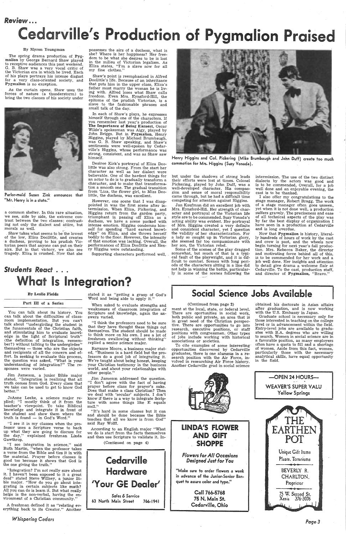## *Review ......*

# ille's Production of Pygmalion Praise

### By Myron Youngman

The spring drama production of Pyg malion by George Bernard Shaw played to receptive audiences this past weekend. G. B. Shaw was <sup>a</sup>very vocal critic of the Victorian era in which he lived. Each of his plays portrays his intense disgust for a very class-oriented society, and Pygmalion is no exception.

a common shelter. In this rare situation, we see, side by side, the extreme contrast between the two classes; contrasting not only the dialect and attire, but morals as well.

As the curtain opens, Shaw uses the forces of nature (a thunderstorm) to bring the two classes of his society under



Parlor-maid Suzan Zink announces that "Mr. Henry is in a state."

. Shaw takes what seems to be'the lowest of the low, Eliza Doolittle, and creates · a duchess, proving to his prudish Victorian peers that anyone can put on their airs. But in that victory, we also see tragedy. Eliza is crushed. Now that she

possesses the airs of a duchess, what is she? Where is her happiness? Her freedom to be what she desires to be is lost in the milieu of Victorian legalism. As Eliza states, "I'm a slave now for all my fine clothes."

Shaw's point is reemphasized in Alfred Doolittle's life. Because of an inheritance that puts him in the upper class, Eliza's father must marry the woman he is living with. Alfred loses what Shaw calls freedom. Even Mrs. Eynsford-Hill, the epitome of the prudish Victorian, is <sup>a</sup> slave to the fashionable phrases and small talk of the day.

Jim Jameson, a junior Bible major stated, "Integration is realizing that all truth comes from God. Every class that we take can be used to get to know God better.'

stated it as "getting a grasp of God's Word and being able to apply it.'

In each of Shaw's plays, he expresses himself through one of the characters. If you remember last year's production of The Importance of Being Earnest, Oscar Wilde's spokesman was Algy, played by John Briggs. But in Pygmalion, Henry Higgins, played by Michael Brumbaugh, was G. B. Shaw speaking, and Shaw's sentiments were well-spoken by Cedarville's Higgins, whose performance was strong, consistent, and was as Shaw saw himself.

JoAnne Leeke, a science major replied; "I mostly think of it from the teacher's viewpoint. To take Biblical knowledge and integrate it in front of the student and show them where the truth is found  $-$  in God's Word."

Desiree Kirk's portrayal of Eliza Doolittle was also strong. From the start her character as well as her dialect were believable. One of the hardest things for an actor to do is to gradually transform <sup>a</sup> character, and to make that transformation a smooth one. The gradual transition from 'Liza, the flower girl, to Miss Doolittle, the duchess, was excellent.

However, one scene that I was disap pointed in was the first scene after intermission. When Eliza, Pickering, and Higgins return from the garden party, triumphant in passing off Eliza as <sup>a</sup> duchess, we have a scene packed with intense emotion. Higgins condemns himself for spending "hard earned knowledge" on Eliza, and she throws herself on Eliza, and she throws herself bodily to the floor. However, the intensity of that emotion was lacking. Overall, the performances of Eliza Doolittle and Henry Higgins were outstanding.

Supporting characters performed well,

### By Leslie Fields

### Part III of a Series



Henry Higgins and Col. Pickering ( Mike Brumbaugh and John Duff) create too much commotion for Mrs. Higgins (Suzy Vonada).

You can talk about its history. You can talk about the difficulties of classroom implementation. But you can't talk about "undergirding the student in the funamentals of the Christian faith, and stimulating him to evaluate knowledge in the light of Scriptural truth" (the definition of integration, remember?) without talking to the undergirdee" themselves — those who are the objects and recipients of all the concern and effort. In seeking to evaluate this process, the question was asked, "What is your understanding of integration?" The responses were varied.

but under the shadows of strong leads their efforts were lost at times. Colonel Pickering, played by John Duff, was <sup>a</sup> well-developed character. His compas sion and sense of moral responsibility came through, but he had a difficult time competing for attention against Higgins.

Some of the scenes of the play dragged somewhat, but much of that is a typi cal fault of the playwright, and it is difficult to combat. Scenes with 1ong peri ods of the characters sitting in a line did not help in winning the battle, particularly in some of the scenes following the

"I see it in my classes when the pro fessor uses a Scripture verse to back up what they are going to discuss for the day," explained freshman Linda Gawthrop.

"I see integration in science," said Ruth Martin, "when the professor takes · a verse from the Bible and ties it in with the material. Prayer before classes is good too because it shows that God is the one giving the truth."

LINDA'S FLOWER AND Giff SHOPPE

"Integration? I'm not really sure about it. I haven't been exposed to it a great deal'' stated Steve Willsey, a junior Bible major. "How do you go about integrating in certain subjects like math? All you can do is learn it. But what really helps is the non-verbal, having the environment of a Christian community."

"Make sure to order flowers a week in advance of the Junior-Senior Banquet to assure color and type."

> Call 766-5768 75 N. Main St. Cedarville, Ohio

<sup>A</sup>freshman defined it as "relating everything back to its Creator." Another

*Whispering Cedars* 

When asked to evaluate strengths and weaknesses of classroom integration of Scripture and knowledge, again the answers varied.

"I think the professors need to be sure that they have thought these things out themselves. The student should be made to think more on his own. I see a lot of freshmen swallowing without thinking'' replied a senior science major.

Rayanne Moore, a business major stated, "Business is a hard field but the professors do a good job of integrating it. We're taught about being honest, keeping your Christian testimony in the business world, and about your relationships with other people."

Jim Jameson addressed the question. "I don't agree with the fact of having prayer before class for prayer's sake. Does that make a class Christian? Then we deal with 'secular' subjects. I don't know if there is a way to integrate Scripture with some things like E equals mc2.''

## Social Science Jobs Available

"It's hard in some classes but it can and should be done because the Bible teaches that all we know is from God" said Ray Wolff.

According to an English major "What we do is start from the facts themselves and then use Scripture to validate it. In-

(Continued on page 4)



Jan Kaufman did an excellent job with Mrs. Eynsford-Hill. Her strength of character and portrayal of the Victorian life style are to be commended. Suzy Vonada's acting ability was evident. Her portrayal of Mrs. Higgins created <sup>a</sup>very definite and consistent character, yet I question the validity of her characterization. For <sup>a</sup>lady so caught up in Victorian glory, she seemed far too compassionate with her son, the Victorian rebel.

intermission. The use of the two distinct dialects by the actors was good and is to be commended, Overall, for a job well done and an enjoyable evening, the cast is to be thanked.

 <sup>I</sup>also offer my congratulations to the stage manager, Robert Bragg. The work of a stage manager often goes unseen, yet when it is not done well, a production suffers gravely. The preciseness and ease of all technical aspects of the play was by far the best display of organization <sup>I</sup> have seen in a production at Cedarville and is long overdue.

Now that Pygmalion is history, literally hundreds of hours of work by the cast and crew is past, and the wheels now begin turning for next year's fall production. Mrs. Rebecca Baker, the director and motivating force behind all of this, is to be commended for her work and a job well done. Her insights and attention to detail give drama a welcome flair at Cedarville. To the cast, production staff, and director of Pygmalion, "Bravo.''

## Students React . . . What Is Integration?

### (Continued from page 2)

ment at the local, state, or federal level. There are oportunities in social work, both public and private, an area that is in great need of the Christian perspective. There are opportunities to go into research, executive positions, or staff positions with congressmen. Other types of jobs include working with historical associations or societies.

To cite examples of some interesting· opportunities discovered by Cedarville graduates, there is one alumnus in a research position with the Air Force, involved in researching Air Force history. Another Cedarville grad in social science



*Flowers* for *All* Occasions *Designed Just* for *You* 

obtained his doctorate in Asian affairs after graduation, and is now working with the U.S. Embassy in Japan.

Graduate school is necessary only for those interested in teaching on the college level or in advancement within the field. Entry-level jobs are available to graduates with B.A. degrees who are willing to search. Women in social science are in <sup>a</sup>favorable position, as many employers often have a quota to fill and a shortage of women. Aside from this fact, women, particularly those with the necessary analytical skills, have equal opportunity in the field.

-OPEN 24.HOURS-WEAVER'S SUPER YALU



Page3